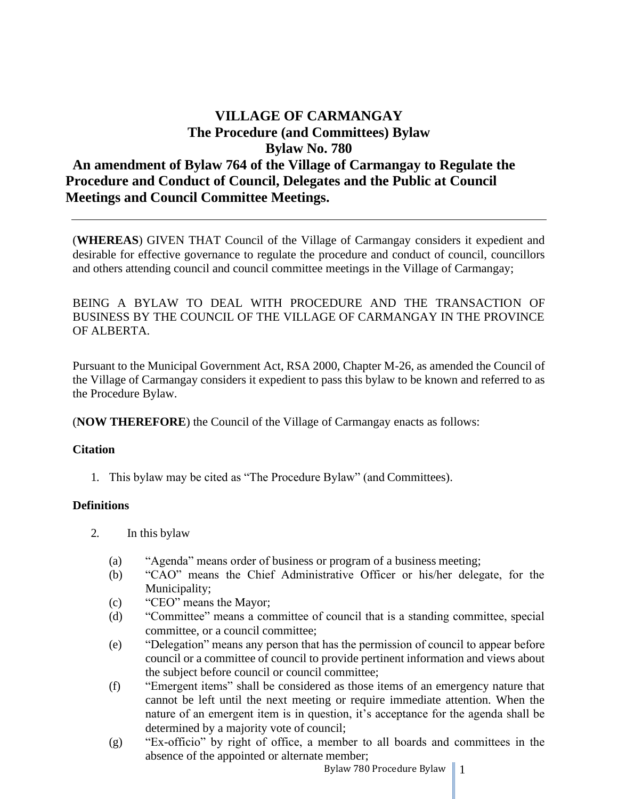# **VILLAGE OF CARMANGAY The Procedure (and Committees) Bylaw Bylaw No. 780 An amendment of Bylaw 764 of the Village of Carmangay to Regulate the Procedure and Conduct of Council, Delegates and the Public at Council Meetings and Council Committee Meetings.**

(**WHEREAS**) GIVEN THAT Council of the Village of Carmangay considers it expedient and desirable for effective governance to regulate the procedure and conduct of council, councillors and others attending council and council committee meetings in the Village of Carmangay;

BEING A BYLAW TO DEAL WITH PROCEDURE AND THE TRANSACTION OF BUSINESS BY THE COUNCIL OF THE VILLAGE OF CARMANGAY IN THE PROVINCE OF ALBERTA.

Pursuant to the Municipal Government Act, RSA 2000, Chapter M-26, as amended the Council of the Village of Carmangay considers it expedient to pass this bylaw to be known and referred to as the Procedure Bylaw.

(**NOW THEREFORE**) the Council of the Village of Carmangay enacts as follows:

#### **Citation**

1. This bylaw may be cited as "The Procedure Bylaw" (and Committees).

## **Definitions**

- 2. In this bylaw
	- (a) "Agenda" means order of business or program of a business meeting;
	- (b) "CAO" means the Chief Administrative Officer or his/her delegate, for the Municipality;
	- (c) "CEO" means the Mayor;
	- (d) "Committee" means a committee of council that is a standing committee, special committee, or a council committee;
	- (e) "Delegation" means any person that has the permission of council to appear before council or a committee of council to provide pertinent information and views about the subject before council or council committee;
	- (f) "Emergent items" shall be considered as those items of an emergency nature that cannot be left until the next meeting or require immediate attention. When the nature of an emergent item is in question, it's acceptance for the agenda shall be determined by a majority vote of council;
	- (g) "Ex-officio" by right of office, a member to all boards and committees in the absence of the appointed or alternate member;

Bylaw 780 Procedure Bylaw  $\parallel$  1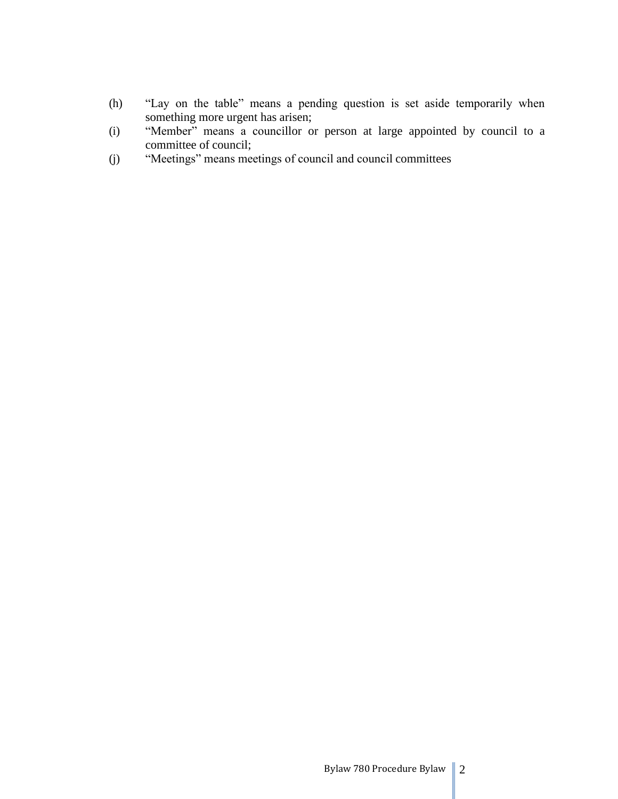- (h) "Lay on the table" means a pending question is set aside temporarily when something more urgent has arisen;
- (i) "Member" means a councillor or person at large appointed by council to a committee of council;
- (j) "Meetings" means meetings of council and council committees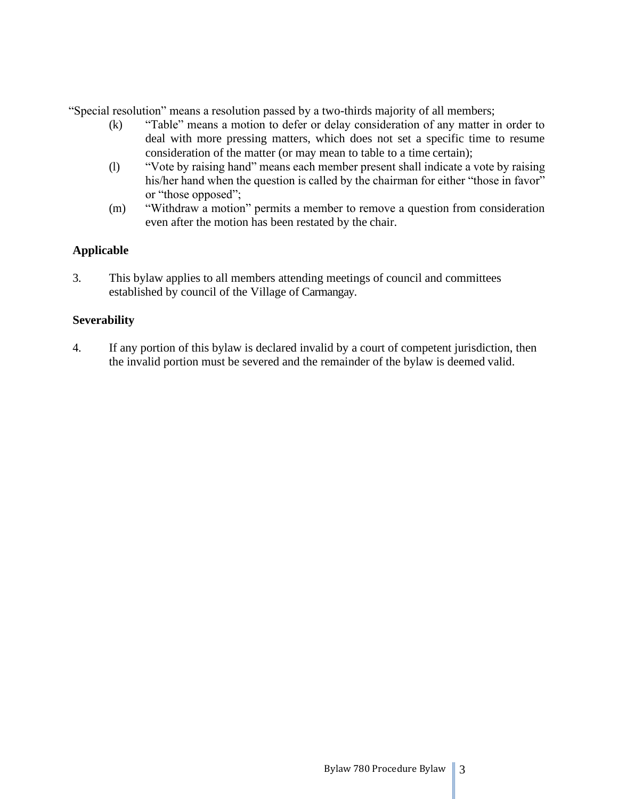"Special resolution" means a resolution passed by a two-thirds majority of all members;

- (k) "Table" means a motion to defer or delay consideration of any matter in order to deal with more pressing matters, which does not set a specific time to resume consideration of the matter (or may mean to table to a time certain);
- (l) "Vote by raising hand" means each member present shall indicate a vote by raising his/her hand when the question is called by the chairman for either "those in favor" or "those opposed";
- (m) "Withdraw a motion" permits a member to remove a question from consideration even after the motion has been restated by the chair.

## **Applicable**

3. This bylaw applies to all members attending meetings of council and committees established by council of the Village of Carmangay.

## **Severability**

4. If any portion of this bylaw is declared invalid by a court of competent jurisdiction, then the invalid portion must be severed and the remainder of the bylaw is deemed valid.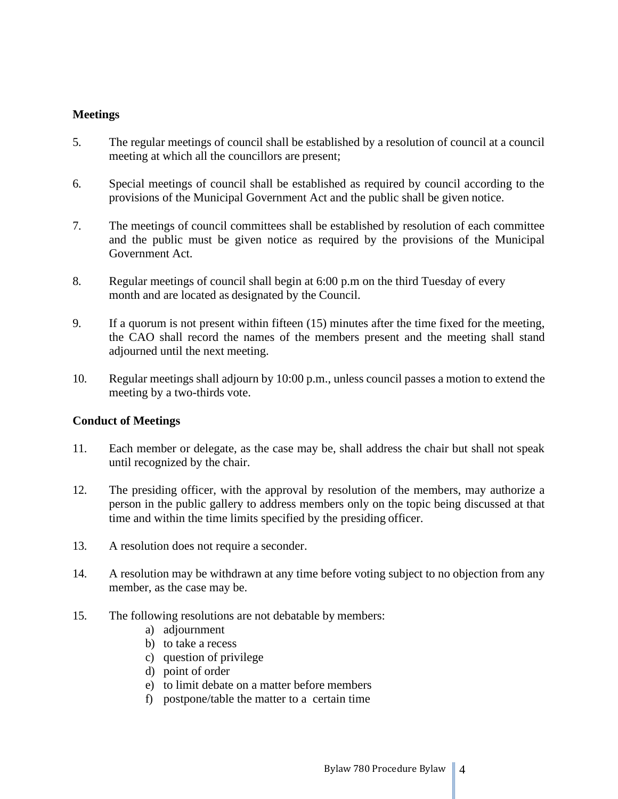#### **Meetings**

- 5. The regular meetings of council shall be established by a resolution of council at a council meeting at which all the councillors are present;
- 6. Special meetings of council shall be established as required by council according to the provisions of the Municipal Government Act and the public shall be given notice.
- 7. The meetings of council committees shall be established by resolution of each committee and the public must be given notice as required by the provisions of the Municipal Government Act.
- 8. Regular meetings of council shall begin at 6:00 p.m on the third Tuesday of every month and are located as designated by the Council.
- 9. If a quorum is not present within fifteen (15) minutes after the time fixed for the meeting, the CAO shall record the names of the members present and the meeting shall stand adjourned until the next meeting.
- 10. Regular meetings shall adjourn by 10:00 p.m., unless council passes a motion to extend the meeting by a two-thirds vote.

#### **Conduct of Meetings**

- 11. Each member or delegate, as the case may be, shall address the chair but shall not speak until recognized by the chair.
- 12. The presiding officer, with the approval by resolution of the members, may authorize a person in the public gallery to address members only on the topic being discussed at that time and within the time limits specified by the presiding officer.
- 13. A resolution does not require a seconder.
- 14. A resolution may be withdrawn at any time before voting subject to no objection from any member, as the case may be.
- 15. The following resolutions are not debatable by members:
	- a) adjournment
	- b) to take a recess
	- c) question of privilege
	- d) point of order
	- e) to limit debate on a matter before members
	- f) postpone/table the matter to a certain time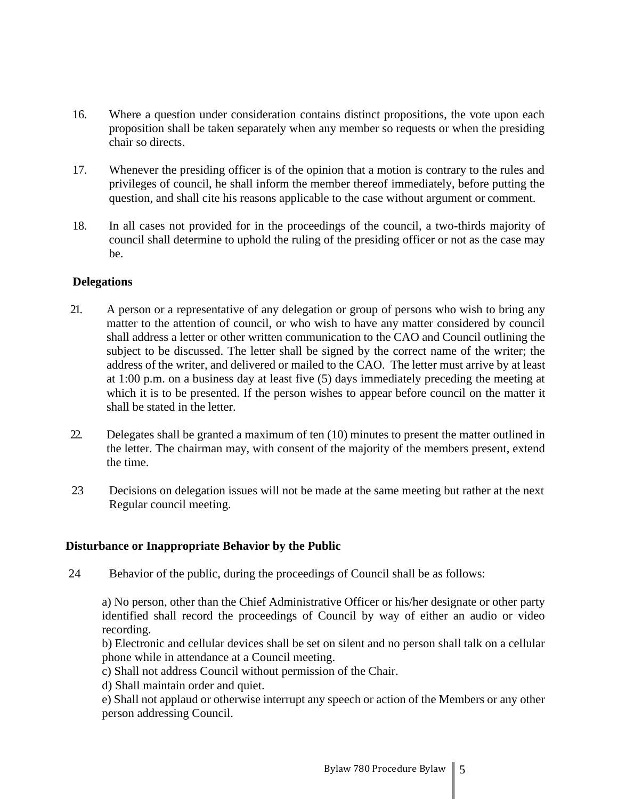- 16. Where a question under consideration contains distinct propositions, the vote upon each proposition shall be taken separately when any member so requests or when the presiding chair so directs.
- 17. Whenever the presiding officer is of the opinion that a motion is contrary to the rules and privileges of council, he shall inform the member thereof immediately, before putting the question, and shall cite his reasons applicable to the case without argument or comment.
- 18. In all cases not provided for in the proceedings of the council, a two-thirds majority of council shall determine to uphold the ruling of the presiding officer or not as the case may be.

### **Delegations**

- 21. A person or a representative of any delegation or group of persons who wish to bring any matter to the attention of council, or who wish to have any matter considered by council shall address a letter or other written communication to the CAO and Council outlining the subject to be discussed. The letter shall be signed by the correct name of the writer; the address of the writer, and delivered or mailed to the CAO. The letter must arrive by at least at 1:00 p.m. on a business day at least five (5) days immediately preceding the meeting at which it is to be presented. If the person wishes to appear before council on the matter it shall be stated in the letter.
- 22. Delegates shall be granted a maximum of ten (10) minutes to present the matter outlined in the letter. The chairman may, with consent of the majority of the members present, extend the time.
- 23 Decisions on delegation issues will not be made at the same meeting but rather at the next Regular council meeting.

## **Disturbance or Inappropriate Behavior by the Public**

24 Behavior of the public, during the proceedings of Council shall be as follows:

a) No person, other than the Chief Administrative Officer or his/her designate or other party identified shall record the proceedings of Council by way of either an audio or video recording.

b) Electronic and cellular devices shall be set on silent and no person shall talk on a cellular phone while in attendance at a Council meeting.

c) Shall not address Council without permission of the Chair.

d) Shall maintain order and quiet.

e) Shall not applaud or otherwise interrupt any speech or action of the Members or any other person addressing Council.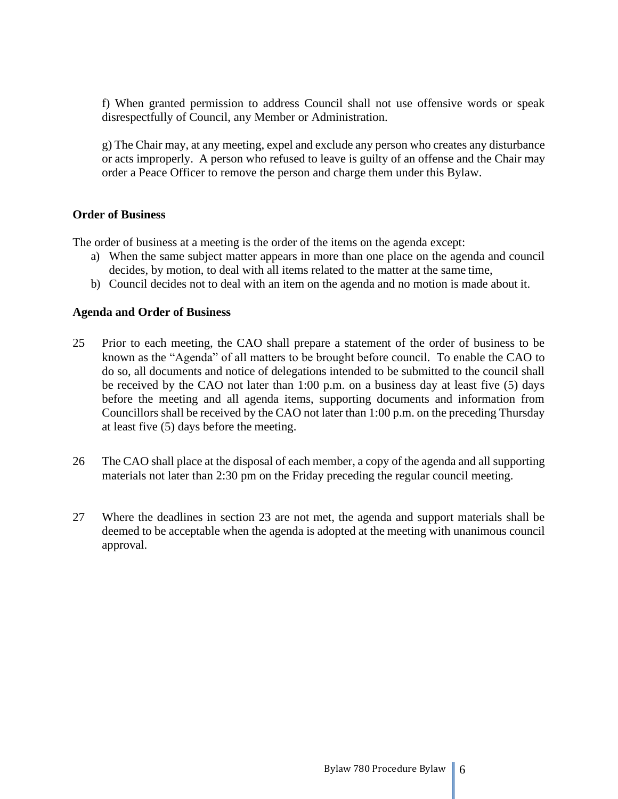f) When granted permission to address Council shall not use offensive words or speak disrespectfully of Council, any Member or Administration.

g) The Chair may, at any meeting, expel and exclude any person who creates any disturbance or acts improperly. A person who refused to leave is guilty of an offense and the Chair may order a Peace Officer to remove the person and charge them under this Bylaw.

#### **Order of Business**

The order of business at a meeting is the order of the items on the agenda except:

- a) When the same subject matter appears in more than one place on the agenda and council decides, by motion, to deal with all items related to the matter at the same time,
- b) Council decides not to deal with an item on the agenda and no motion is made about it.

#### **Agenda and Order of Business**

- 25 Prior to each meeting, the CAO shall prepare a statement of the order of business to be known as the "Agenda" of all matters to be brought before council. To enable the CAO to do so, all documents and notice of delegations intended to be submitted to the council shall be received by the CAO not later than 1:00 p.m. on a business day at least five (5) days before the meeting and all agenda items, supporting documents and information from Councillors shall be received by the CAO not later than 1:00 p.m. on the preceding Thursday at least five (5) days before the meeting.
- 26 The CAO shall place at the disposal of each member, a copy of the agenda and all supporting materials not later than 2:30 pm on the Friday preceding the regular council meeting.
- 27 Where the deadlines in section 23 are not met, the agenda and support materials shall be deemed to be acceptable when the agenda is adopted at the meeting with unanimous council approval.